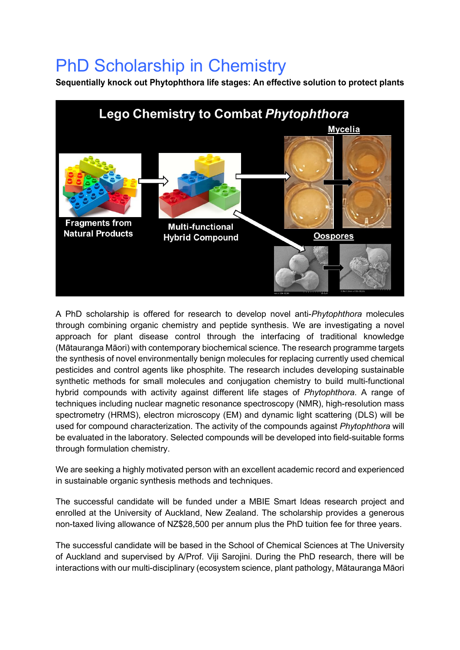## PhD Scholarship in Chemistry

**Sequentially knock out Phytophthora life stages: An effective solution to protect plants**



A PhD scholarship is offered for research to develop novel anti-*Phytophthora* molecules through combining organic chemistry and peptide synthesis. We are investigating a novel approach for plant disease control through the interfacing of traditional knowledge (Mātauranga Māori) with contemporary biochemical science. The research programme targets the synthesis of novel environmentally benign molecules for replacing currently used chemical pesticides and control agents like phosphite. The research includes developing sustainable synthetic methods for small molecules and conjugation chemistry to build multi-functional hybrid compounds with activity against different life stages of *Phytophthora*. A range of techniques including nuclear magnetic resonance spectroscopy (NMR), high-resolution mass spectrometry (HRMS), electron microscopy (EM) and dynamic light scattering (DLS) will be used for compound characterization. The activity of the compounds against *Phytophthora* will be evaluated in the laboratory. Selected compounds will be developed into field-suitable forms through formulation chemistry.

We are seeking a highly motivated person with an excellent academic record and experienced in sustainable organic synthesis methods and techniques.

The successful candidate will be funded under a MBIE Smart Ideas research project and enrolled at the University of Auckland, New Zealand. The scholarship provides a generous non-taxed living allowance of NZ\$28,500 per annum plus the PhD tuition fee for three years.

The successful candidate will be based in the School of Chemical Sciences at The University of Auckland and supervised by A/Prof. Viji Sarojini. During the PhD research, there will be interactions with our multi-disciplinary (ecosystem science, plant pathology, Mātauranga Māori